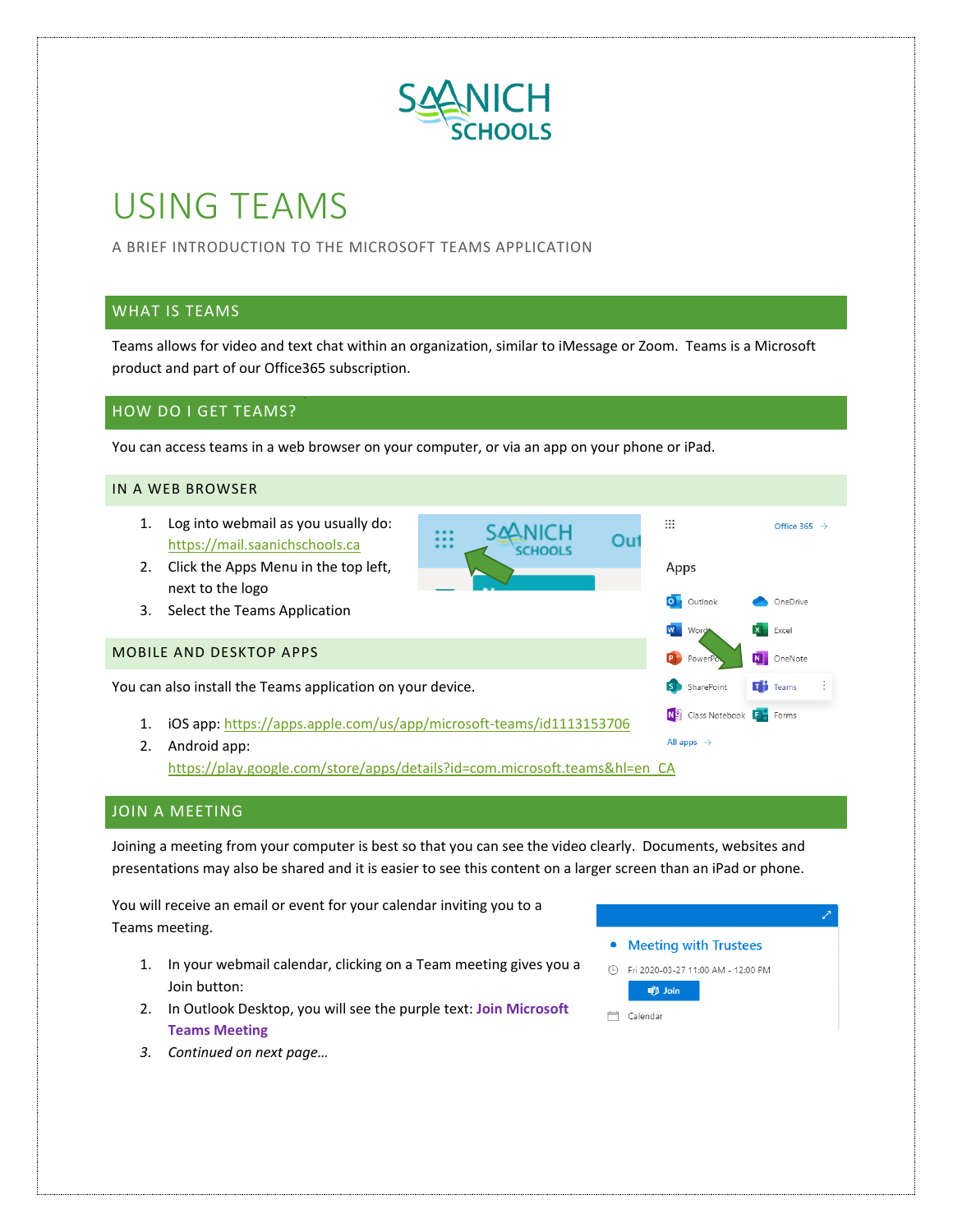

# USING TEAMS

A BRIEF INTRODUCTION TO THE MICROSOFT TEAMS APPLICATION

## WHAT IS TEAMS

Teams allows for video and text chat within an organization, similar to iMessage or Zoom. Teams is a Microsoft product and part of our Office365 subscription.

## HOW DO I GET TEAMS?

You can access teams in a web browser on your computer, or via an app on your phone or iPad.

#### IN A WEB BROWSER

- 1. Log into webmail as you usually do: [https://mail.saanichschools.ca](https://mail.saanichschools.ca/)
- 2. Click the Apps Menu in the top left, next to the logo
- 3. Select the Teams Application

#### MOBILE AND DESKTOP APPS

You can also install the Teams application on your device.

- 1. iOS app:<https://apps.apple.com/us/app/microsoft-teams/id1113153706>
- All apps  $\rightarrow$ 2. Android app: [https://play.google.com/store/apps/details?id=com.microsoft.teams&hl=en\\_CA](https://play.google.com/store/apps/details?id=com.microsoft.teams&hl=en_CA)

### JOIN A MEETING

Joining a meeting from your computer is best so that you can see the video clearly. Documents, websites and presentations may also be shared and it is easier to see this content on a larger screen than an iPad or phone.

You will receive an email or event for your calendar inviting you to a Teams meeting.

- 1. In your webmail calendar, clicking on a Team meeting gives you a Join button:
- 2. In Outlook Desktop, you will see the purple text: **Join Microsoft Teams Meeting**
- Meeting with Trustees ① Fri 2020-03-27 11:00 AM - 12:00 PM **ut** Join

<sup>一</sup> Calendar

 $\vdots$  :

Apps

O<sub>1</sub> Outlook

Power

S SharePoint

No Class Notebook Fig. Forms

W Won

Out

Office 365  $\rightarrow$ 

OneDrive

 $X$  Fxcel N OneNote

**Tij** Teams

*3. Continued on next page…*